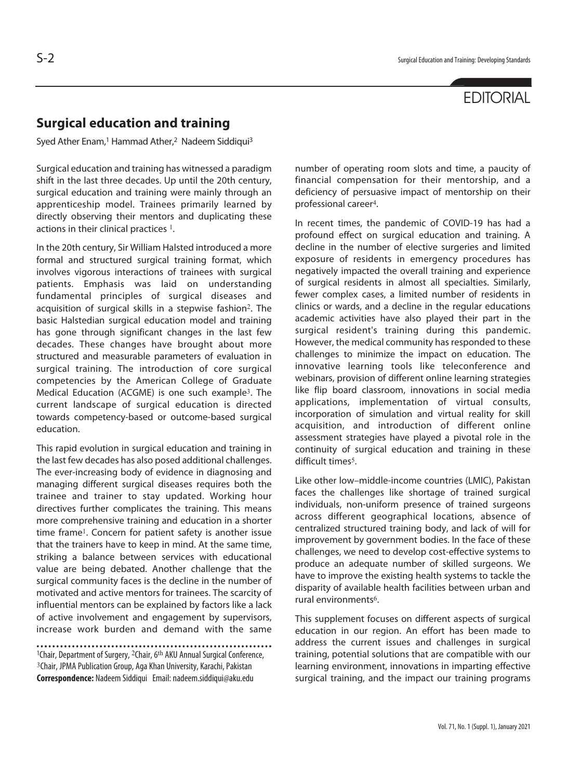## **EDITORIAL**

## **Surgical education and training**

Syed Ather Enam,<sup>1</sup> Hammad Ather,<sup>2</sup> Nadeem Siddiqui<sup>3</sup>

Surgical education and training has witnessed a paradigm shift in the last three decades. Up until the 20th century, surgical education and training were mainly through an apprenticeship model. Trainees primarily learned by directly observing their mentors and duplicating these actions in their clinical practices <sup>1</sup>.

In the 20th century, Sir William Halsted introduced a more formal and structured surgical training format, which involves vigorous interactions of trainees with surgical patients. Emphasis was laid on understanding fundamental principles of surgical diseases and acquisition of surgical skills in a stepwise fashion<sup>2</sup>. The basic Halstedian surgical education model and training has gone through significant changes in the last few decades. These changes have brought about more structured and measurable parameters of evaluation in surgical training. The introduction of core surgical competencies by the American College of Graduate Medical Education (ACGME) is one such example<sup>3</sup>. The current landscape of surgical education is directed towards competency-based or outcome-based surgical education.

This rapid evolution in surgical education and training in the last few decades has also posed additional challenges. The ever-increasing body of evidence in diagnosing and managing different surgical diseases requires both the trainee and trainer to stay updated. Working hour directives further complicates the training. This means more comprehensive training and education in a shorter time frame<sup>1</sup>. Concern for patient safety is another issue that the trainers have to keep in mind. At the same time, striking a balance between services with educational value are being debated. Another challenge that the surgical community faces is the decline in the number of motivated and active mentors for trainees. The scarcity of influential mentors can be explained by factors like a lack of active involvement and engagement by supervisors, increase work burden and demand with the same

1Chair, Department of Surgery, <sup>2</sup>Chair, 6th AKU Annual Surgical Conference, <sup>3</sup>Chair, JPMA Publication Group, Aga Khan University, Karachi, Pakistan **Correspondence:** Nadeem Siddiqui Email: nadeem.siddiqui@aku.edu

number of operating room slots and time, a paucity of financial compensation for their mentorship, and a deficiency of persuasive impact of mentorship on their professional career<sup>4</sup>.

In recent times, the pandemic of COVID-19 has had a profound effect on surgical education and training. A decline in the number of elective surgeries and limited exposure of residents in emergency procedures has negatively impacted the overall training and experience of surgical residents in almost all specialties. Similarly, fewer complex cases, a limited number of residents in clinics or wards, and a decline in the regular educations academic activities have also played their part in the surgical resident's training during this pandemic. However, the medical community has responded to these challenges to minimize the impact on education. The innovative learning tools like teleconference and webinars, provision of different online learning strategies like flip board classroom, innovations in social media applications, implementation of virtual consults, incorporation of simulation and virtual reality for skill acquisition, and introduction of different online assessment strategies have played a pivotal role in the continuity of surgical education and training in these difficult times<sup>5</sup>.

Like other low–middle-income countries (LMIC), Pakistan faces the challenges like shortage of trained surgical individuals, non-uniform presence of trained surgeons across different geographical locations, absence of centralized structured training body, and lack of will for improvement by government bodies. In the face of these challenges, we need to develop cost-effective systems to produce an adequate number of skilled surgeons. We have to improve the existing health systems to tackle the disparity of available health facilities between urban and rural environments<sup>6</sup>.

This supplement focuses on different aspects of surgical education in our region. An effort has been made to address the current issues and challenges in surgical training, potential solutions that are compatible with our learning environment, innovations in imparting effective surgical training, and the impact our training programs